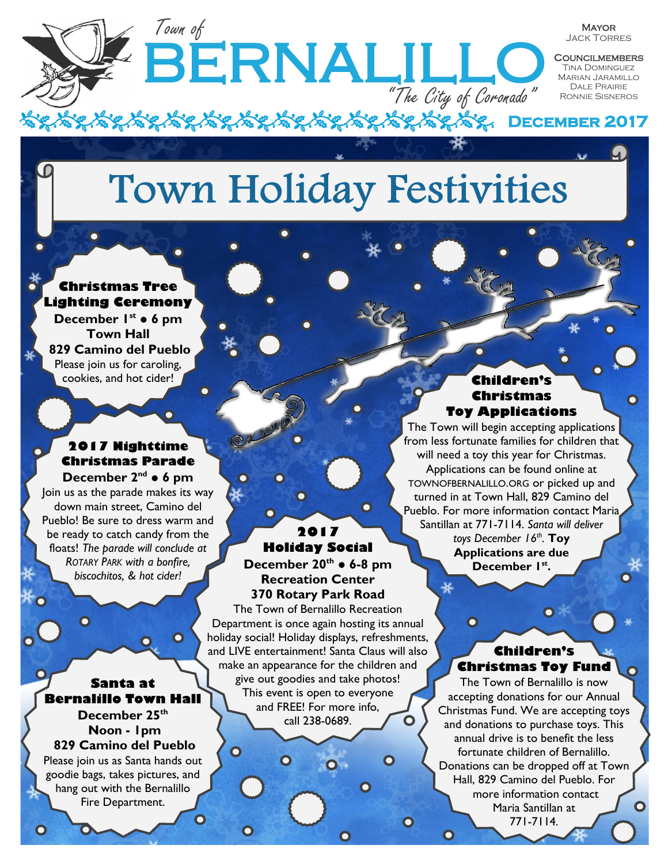# **Town Holiday Festivities**

**BERNALILL** 

#### **Christmas Tree Lighting Ceremony**

Town of

**December 1st** ● **6 pm Town Hall 829 Camino del Pueblo** Please join us for caroling, cookies, and hot cider!

#### **2017 Nighttime Christmas Parade**

**December 2nd** ● **6 pm** Join us as the parade makes its way down main street, Camino del Pueblo! Be sure to dress warm and be ready to catch candy from the floats! *The parade will conclude at ROTARY PARK with a bonfire, biscochitos, & hot cider!*

**Santa at Bernalillo Town Hall December 25th Noon - 1pm**

O

 $\overline{\mathbf{o}}$ 

 $\mathbf O$ 

O

 $\mathbf O$ 

#### **829 Camino del Pueblo**

Please join us as Santa hands out goodie bags, takes pictures, and hang out with the Bernalillo Fire Department.

 $\mathbf O$ 

#### **2017 Holiday Social**

О

n

**December 20th** ● **6-8 pm Recreation Center 370 Rotary Park Road**

The Town of Bernalillo Recreation Department is once again hosting its annual holiday social! Holiday displays, refreshments, and LIVE entertainment! Santa Claus will also make an appearance for the children and give out goodies and take photos! This event is open to everyone and FREE! For more info, call 238-0689.

#### **Children's Christmas Toy Applications**

"The City of Coronado"

**December 2017** 

**MAYOR** Jack Torres **COUNCILMEMBERS TINA DOMINGUEZ** Marian Jaramillo Dale Prairie Ronnie Sisneros

O

The Town will begin accepting applications from less fortunate families for children that will need a toy this year for Christmas. Applications can be found online at TOWNOFBERNALILLO.ORG or picked up and turned in at Town Hall, 829 Camino del Pueblo. For more information contact Maria Santillan at 771-7114. *Santa will deliver toys December 16th .* **Toy Applications are due December 1st .**

 $\overline{\mathbf{O}}$ 

 $\mathbf O$ 

#### **Children's Christmas Toy Fund**

 $\bullet$ 

The Town of Bernalillo is now accepting donations for our Annual Christmas Fund. We are accepting toys and donations to purchase toys. This annual drive is to benefit the less fortunate children of Bernalillo. Donations can be dropped off at Town Hall, 829 Camino del Pueblo. For more information contact O Maria Santillan at 771-7114.